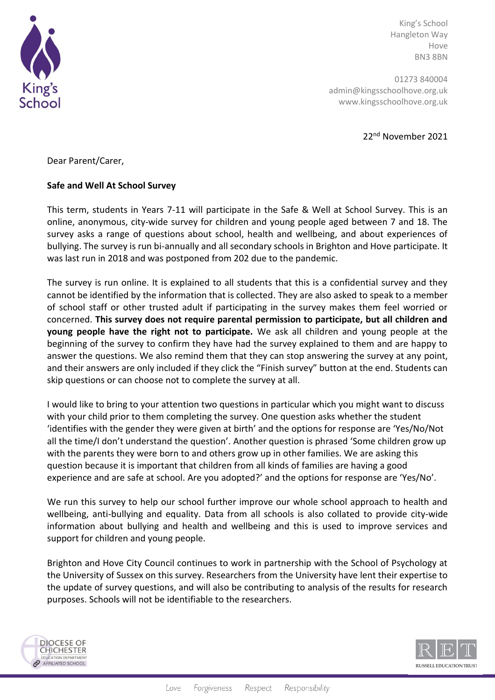

King's School Hangleton Way Hove BN3 8BN

01273 840004 admin@kingsschoolhove.org.uk www.kingsschoolhove.org.uk

22nd November 2021

Dear Parent/Carer,

## **Safe and Well At School Survey**

This term, students in Years 7-11 will participate in the Safe & Well at School Survey. This is an online, anonymous, city-wide survey for children and young people aged between 7 and 18. The survey asks a range of questions about school, health and wellbeing, and about experiences of bullying. The survey is run bi-annually and all secondary schools in Brighton and Hove participate. It was last run in 2018 and was postponed from 202 due to the pandemic.

The survey is run online. It is explained to all students that this is a confidential survey and they cannot be identified by the information that is collected. They are also asked to speak to a member of school staff or other trusted adult if participating in the survey makes them feel worried or concerned. **This survey does not require parental permission to participate, but all children and young people have the right not to participate.** We ask all children and young people at the beginning of the survey to confirm they have had the survey explained to them and are happy to answer the questions. We also remind them that they can stop answering the survey at any point, and their answers are only included if they click the "Finish survey" button at the end. Students can skip questions or can choose not to complete the survey at all.

I would like to bring to your attention two questions in particular which you might want to discuss with your child prior to them completing the survey. One question asks whether the student 'identifies with the gender they were given at birth' and the options for response are 'Yes/No/Not all the time/I don't understand the question'. Another question is phrased 'Some children grow up with the parents they were born to and others grow up in other families. We are asking this question because it is important that children from all kinds of families are having a good experience and are safe at school. Are you adopted?' and the options for response are 'Yes/No'.

We run this survey to help our school further improve our whole school approach to health and wellbeing, anti-bullying and equality. Data from all schools is also collated to provide city-wide information about bullying and health and wellbeing and this is used to improve services and support for children and young people.

Brighton and Hove City Council continues to work in partnership with the School of Psychology at the University of Sussex on this survey. Researchers from the University have lent their expertise to the update of survey questions, and will also be contributing to analysis of the results for research purposes. Schools will not be identifiable to the researchers.